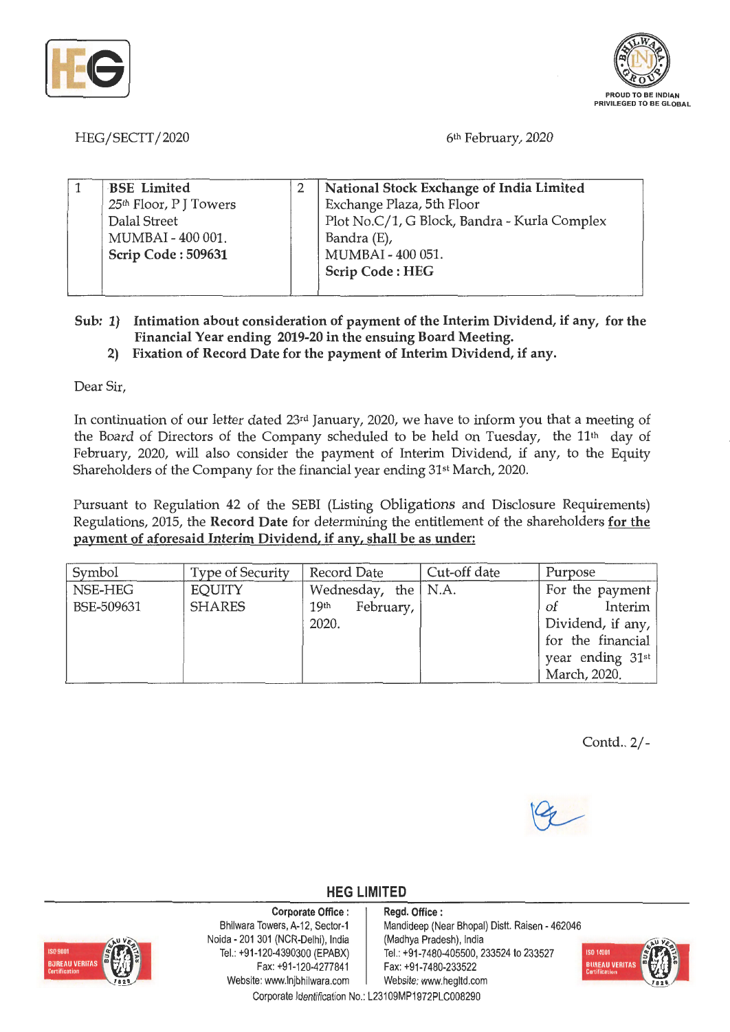



HEG/SECTT/2020

6th February, 2020

| <b>BSE</b> Limited                 |  | National Stock Exchange of India Limited     |  |
|------------------------------------|--|----------------------------------------------|--|
| 25 <sup>th</sup> Floor, P J Towers |  | Exchange Plaza, 5th Floor                    |  |
| Dalal Street                       |  | Plot No.C/1, G Block, Bandra - Kurla Complex |  |
| MUMBAI - 400 001.                  |  | Bandra (E),                                  |  |
| Scrip Code: 509631                 |  | MUMBAI - 400 051.                            |  |
|                                    |  | <b>Scrip Code: HEG</b>                       |  |
|                                    |  |                                              |  |

- **Sub: 1) Intimation about consideration of payment of the Interim Dividend, if any, for the Financial Year ending 2019-20 in the ensuing Board Meeting.** 
	- **2) Fixation of Record Date for the payment of Interim Dividend, if any.**

Dear Sir,

In continuation of our letter dated 23rd January, 2020, we have to inform you that a meeting of the Board of Directors of the Company scheduled to be held on Tuesday, the 11th day of February, 2020, will also consider the payment of Interim Dividend, if any, to the Equity Shareholders of the Company for the financial year ending 31st March, 2020.

Pursuant to Regulation 42 of the SEBI (Listing Obligations and Disclosure Requirements) Regulations, 2015, the **Record Date** for determining the entitlement of the shareholders **for the payment of aforesaid Interim Dividend, if any, shall be as under:** 

| Symbol     | <b>Type of Security</b> | Record Date                   | Cut-off date | Purpose           |
|------------|-------------------------|-------------------------------|--------------|-------------------|
| NSE-HEG    | EQUITY                  | Wednesday, the $ $ N.A.       |              | For the payment   |
| BSE-509631 | <b>SHARES</b>           | February,<br>19 <sup>th</sup> |              | Interim<br>of     |
|            |                         | 2020.                         |              | Dividend, if any, |
|            |                         |                               |              | for the financial |
|            |                         |                               |              | year ending 31st  |
|            |                         |                               |              | March, 2020.      |

Contd.. 2/-



**HEG LIMITED** 

## **Corporate Office** :



Bhilwara Towers, A-12, Sector-1 Neida - 201 301 (NCR-Delhi), India Tel.: +91 -120-4390300 (EPABX) Fax: +91-120-4277841 Website: www.lnjbhilwara.com | Website: www.hegltd.com

## **Regd. Office** :

Mandideep (Near Bhopal) Distt. Raisen - 462046 (Madhya Pradesh), India Tel.: +91 -7480-405500, 233524 to 233527 Fax: +91 -7480-233522